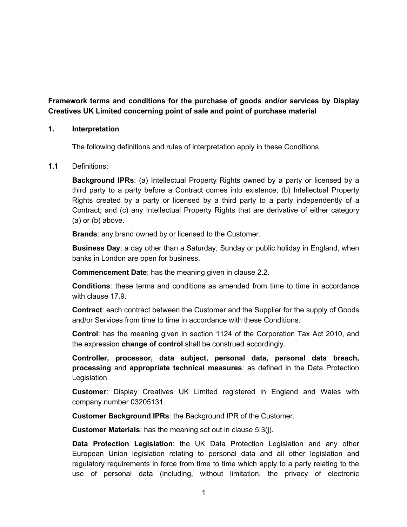**Framework terms and conditions for the purchase of goods and/or services by Display Creatives UK Limited concerning point of sale and point of purchase material**

# **1. Interpretation**

The following definitions and rules of interpretation apply in these Conditions.

# **1.1** Definitions:

**Background IPRs**: (a) Intellectual Property Rights owned by a party or licensed by a third party to a party before a Contract comes into existence; (b) Intellectual Property Rights created by a party or licensed by a third party to a party independently of a Contract; and (c) any Intellectual Property Rights that are derivative of either category (a) or (b) above.

**Brands**: any brand owned by or licensed to the Customer.

**Business Day**: a day other than a Saturday, Sunday or public holiday in England, when banks in London are open for business.

**Commencement Date**: has the meaning given in clause 2.2.

**Conditions**: these terms and conditions as amended from time to time in accordance with clause 17.9.

**Contract**: each contract between the Customer and the Supplier for the supply of Goods and/or Services from time to time in accordance with these Conditions.

**Control**: has the meaning given in section 1124 of the Corporation Tax Act 2010, and the expression **change of control** shall be construed accordingly.

**Controller, processor, data subject, personal data, personal data breach, processing** and **appropriate technical measures**: as defined in the Data Protection Legislation.

**Customer**: Display Creatives UK Limited registered in England and Wales with company number 03205131.

**Customer Background IPRs**: the Background IPR of the Customer.

**Customer Materials**: has the meaning set out in clause 5.3(j).

**Data Protection Legislation**: the UK Data Protection Legislation and any other European Union legislation relating to personal data and all other legislation and regulatory requirements in force from time to time which apply to a party relating to the use of personal data (including, without limitation, the privacy of electronic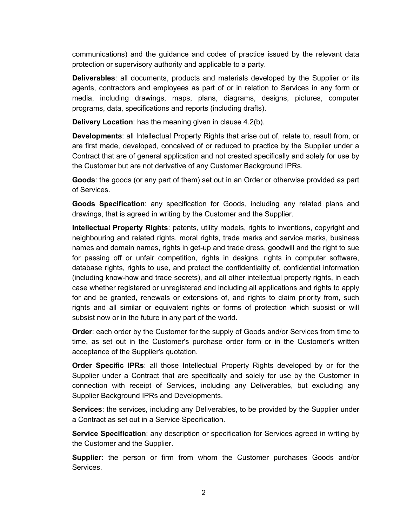communications) and the guidance and codes of practice issued by the relevant data protection or supervisory authority and applicable to a party.

**Deliverables**: all documents, products and materials developed by the Supplier or its agents, contractors and employees as part of or in relation to Services in any form or media, including drawings, maps, plans, diagrams, designs, pictures, computer programs, data, specifications and reports (including drafts).

**Delivery Location**: has the meaning given in clause 4.2(b).

**Developments**: all Intellectual Property Rights that arise out of, relate to, result from, or are first made, developed, conceived of or reduced to practice by the Supplier under a Contract that are of general application and not created specifically and solely for use by the Customer but are not derivative of any Customer Background IPRs.

**Goods**: the goods (or any part of them) set out in an Order or otherwise provided as part of Services.

**Goods Specification**: any specification for Goods, including any related plans and drawings, that is agreed in writing by the Customer and the Supplier.

**Intellectual Property Rights**: patents, utility models, rights to inventions, copyright and neighbouring and related rights, moral rights, trade marks and service marks, business names and domain names, rights in get-up and trade dress, goodwill and the right to sue for passing off or unfair competition, rights in designs, rights in computer software, database rights, rights to use, and protect the confidentiality of, confidential information (including know-how and trade secrets), and all other intellectual property rights, in each case whether registered or unregistered and including all applications and rights to apply for and be granted, renewals or extensions of, and rights to claim priority from, such rights and all similar or equivalent rights or forms of protection which subsist or will subsist now or in the future in any part of the world.

**Order**: each order by the Customer for the supply of Goods and/or Services from time to time, as set out in the Customer's purchase order form or in the Customer's written acceptance of the Supplier's quotation.

**Order Specific IPRs**: all those Intellectual Property Rights developed by or for the Supplier under a Contract that are specifically and solely for use by the Customer in connection with receipt of Services, including any Deliverables, but excluding any Supplier Background IPRs and Developments.

**Services**: the services, including any Deliverables, to be provided by the Supplier under a Contract as set out in a Service Specification.

**Service Specification**: any description or specification for Services agreed in writing by the Customer and the Supplier.

**Supplier**: the person or firm from whom the Customer purchases Goods and/or Services.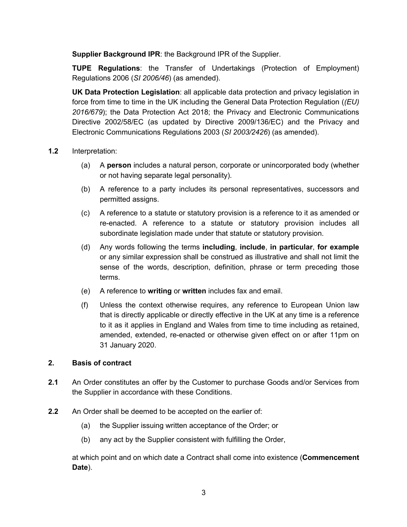**Supplier Background IPR**: the Background IPR of the Supplier.

**TUPE Regulations**: the Transfer of Undertakings (Protection of Employment) Regulations 2006 (*SI 2006/46*) (as amended).

**UK Data Protection Legislation**: all applicable data protection and privacy legislation in force from time to time in the UK including the General Data Protection Regulation (*(EU) 2016/679*); the Data Protection Act 2018; the Privacy and Electronic Communications Directive 2002/58/EC (as updated by Directive 2009/136/EC) and the Privacy and Electronic Communications Regulations 2003 (*SI 2003/2426*) (as amended).

# **1.2** Interpretation:

- (a) A **person** includes a natural person, corporate or unincorporated body (whether or not having separate legal personality).
- (b) A reference to a party includes its personal representatives, successors and permitted assigns.
- (c) A reference to a statute or statutory provision is a reference to it as amended or re-enacted. A reference to a statute or statutory provision includes all subordinate legislation made under that statute or statutory provision.
- (d) Any words following the terms **including**, **include**, **in particular**, **for example** or any similar expression shall be construed as illustrative and shall not limit the sense of the words, description, definition, phrase or term preceding those terms.
- (e) A reference to **writing** or **written** includes fax and email.
- (f) Unless the context otherwise requires, any reference to European Union law that is directly applicable or directly effective in the UK at any time is a reference to it as it applies in England and Wales from time to time including as retained, amended, extended, re-enacted or otherwise given effect on or after 11pm on 31 January 2020.

# **2. Basis of contract**

- **2.1** An Order constitutes an offer by the Customer to purchase Goods and/or Services from the Supplier in accordance with these Conditions.
- **2.2** An Order shall be deemed to be accepted on the earlier of:
	- (a) the Supplier issuing written acceptance of the Order; or
	- (b) any act by the Supplier consistent with fulfilling the Order,

at which point and on which date a Contract shall come into existence (**Commencement Date**).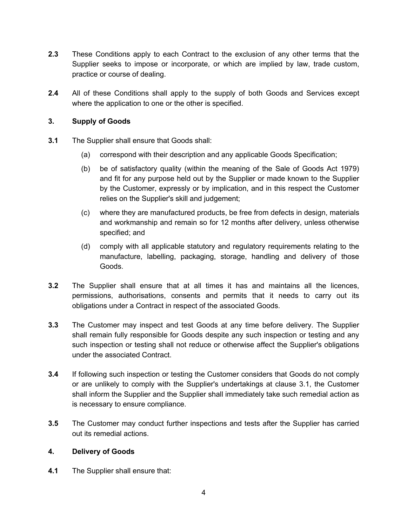- **2.3** These Conditions apply to each Contract to the exclusion of any other terms that the Supplier seeks to impose or incorporate, or which are implied by law, trade custom, practice or course of dealing.
- **2.4** All of these Conditions shall apply to the supply of both Goods and Services except where the application to one or the other is specified.

# **3. Supply of Goods**

- **3.1** The Supplier shall ensure that Goods shall:
	- (a) correspond with their description and any applicable Goods Specification;
	- (b) be of satisfactory quality (within the meaning of the Sale of Goods Act 1979) and fit for any purpose held out by the Supplier or made known to the Supplier by the Customer, expressly or by implication, and in this respect the Customer relies on the Supplier's skill and judgement;
	- (c) where they are manufactured products, be free from defects in design, materials and workmanship and remain so for 12 months after delivery, unless otherwise specified; and
	- (d) comply with all applicable statutory and regulatory requirements relating to the manufacture, labelling, packaging, storage, handling and delivery of those Goods.
- **3.2** The Supplier shall ensure that at all times it has and maintains all the licences, permissions, authorisations, consents and permits that it needs to carry out its obligations under a Contract in respect of the associated Goods.
- **3.3** The Customer may inspect and test Goods at any time before delivery. The Supplier shall remain fully responsible for Goods despite any such inspection or testing and any such inspection or testing shall not reduce or otherwise affect the Supplier's obligations under the associated Contract.
- **3.4** If following such inspection or testing the Customer considers that Goods do not comply or are unlikely to comply with the Supplier's undertakings at clause 3.1, the Customer shall inform the Supplier and the Supplier shall immediately take such remedial action as is necessary to ensure compliance.
- **3.5** The Customer may conduct further inspections and tests after the Supplier has carried out its remedial actions.

# **4. Delivery of Goods**

**4.1** The Supplier shall ensure that: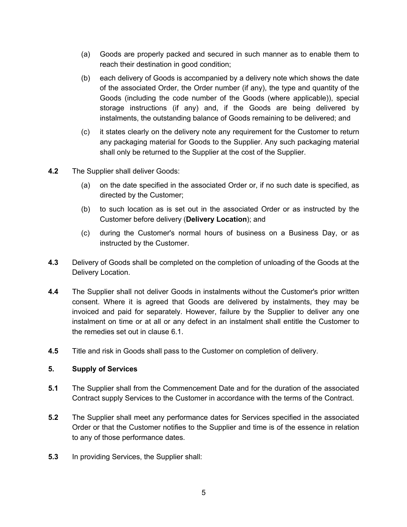- (a) Goods are properly packed and secured in such manner as to enable them to reach their destination in good condition;
- (b) each delivery of Goods is accompanied by a delivery note which shows the date of the associated Order, the Order number (if any), the type and quantity of the Goods (including the code number of the Goods (where applicable)), special storage instructions (if any) and, if the Goods are being delivered by instalments, the outstanding balance of Goods remaining to be delivered; and
- (c) it states clearly on the delivery note any requirement for the Customer to return any packaging material for Goods to the Supplier. Any such packaging material shall only be returned to the Supplier at the cost of the Supplier.
- **4.2** The Supplier shall deliver Goods:
	- (a) on the date specified in the associated Order or, if no such date is specified, as directed by the Customer;
	- (b) to such location as is set out in the associated Order or as instructed by the Customer before delivery (**Delivery Location**); and
	- (c) during the Customer's normal hours of business on a Business Day, or as instructed by the Customer.
- **4.3** Delivery of Goods shall be completed on the completion of unloading of the Goods at the Delivery Location.
- **4.4** The Supplier shall not deliver Goods in instalments without the Customer's prior written consent. Where it is agreed that Goods are delivered by instalments, they may be invoiced and paid for separately. However, failure by the Supplier to deliver any one instalment on time or at all or any defect in an instalment shall entitle the Customer to the remedies set out in clause 6.1.
- **4.5** Title and risk in Goods shall pass to the Customer on completion of delivery.

#### **5. Supply of Services**

- **5.1** The Supplier shall from the Commencement Date and for the duration of the associated Contract supply Services to the Customer in accordance with the terms of the Contract.
- **5.2** The Supplier shall meet any performance dates for Services specified in the associated Order or that the Customer notifies to the Supplier and time is of the essence in relation to any of those performance dates.
- **5.3** In providing Services, the Supplier shall: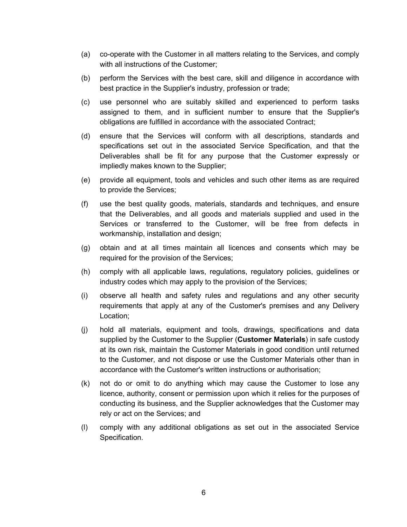- (a) co-operate with the Customer in all matters relating to the Services, and comply with all instructions of the Customer;
- (b) perform the Services with the best care, skill and diligence in accordance with best practice in the Supplier's industry, profession or trade;
- (c) use personnel who are suitably skilled and experienced to perform tasks assigned to them, and in sufficient number to ensure that the Supplier's obligations are fulfilled in accordance with the associated Contract;
- (d) ensure that the Services will conform with all descriptions, standards and specifications set out in the associated Service Specification, and that the Deliverables shall be fit for any purpose that the Customer expressly or impliedly makes known to the Supplier;
- (e) provide all equipment, tools and vehicles and such other items as are required to provide the Services;
- (f) use the best quality goods, materials, standards and techniques, and ensure that the Deliverables, and all goods and materials supplied and used in the Services or transferred to the Customer, will be free from defects in workmanship, installation and design;
- (g) obtain and at all times maintain all licences and consents which may be required for the provision of the Services;
- (h) comply with all applicable laws, regulations, regulatory policies, guidelines or industry codes which may apply to the provision of the Services;
- (i) observe all health and safety rules and regulations and any other security requirements that apply at any of the Customer's premises and any Delivery Location;
- (j) hold all materials, equipment and tools, drawings, specifications and data supplied by the Customer to the Supplier (**Customer Materials**) in safe custody at its own risk, maintain the Customer Materials in good condition until returned to the Customer, and not dispose or use the Customer Materials other than in accordance with the Customer's written instructions or authorisation;
- (k) not do or omit to do anything which may cause the Customer to lose any licence, authority, consent or permission upon which it relies for the purposes of conducting its business, and the Supplier acknowledges that the Customer may rely or act on the Services; and
- (l) comply with any additional obligations as set out in the associated Service Specification.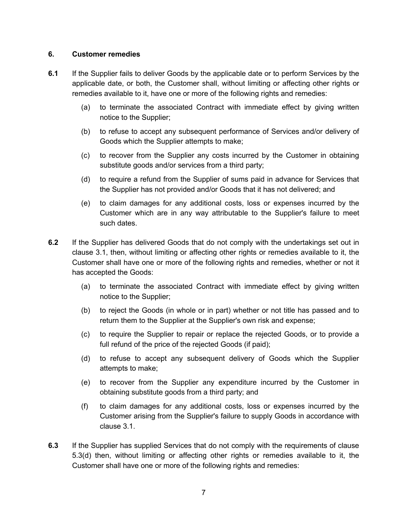# **6. Customer remedies**

- **6.1** If the Supplier fails to deliver Goods by the applicable date or to perform Services by the applicable date, or both, the Customer shall, without limiting or affecting other rights or remedies available to it, have one or more of the following rights and remedies:
	- (a) to terminate the associated Contract with immediate effect by giving written notice to the Supplier;
	- (b) to refuse to accept any subsequent performance of Services and/or delivery of Goods which the Supplier attempts to make;
	- (c) to recover from the Supplier any costs incurred by the Customer in obtaining substitute goods and/or services from a third party;
	- (d) to require a refund from the Supplier of sums paid in advance for Services that the Supplier has not provided and/or Goods that it has not delivered; and
	- (e) to claim damages for any additional costs, loss or expenses incurred by the Customer which are in any way attributable to the Supplier's failure to meet such dates.
- **6.2** If the Supplier has delivered Goods that do not comply with the undertakings set out in clause 3.1, then, without limiting or affecting other rights or remedies available to it, the Customer shall have one or more of the following rights and remedies, whether or not it has accepted the Goods:
	- (a) to terminate the associated Contract with immediate effect by giving written notice to the Supplier;
	- (b) to reject the Goods (in whole or in part) whether or not title has passed and to return them to the Supplier at the Supplier's own risk and expense;
	- (c) to require the Supplier to repair or replace the rejected Goods, or to provide a full refund of the price of the rejected Goods (if paid);
	- (d) to refuse to accept any subsequent delivery of Goods which the Supplier attempts to make;
	- (e) to recover from the Supplier any expenditure incurred by the Customer in obtaining substitute goods from a third party; and
	- (f) to claim damages for any additional costs, loss or expenses incurred by the Customer arising from the Supplier's failure to supply Goods in accordance with clause 3.1.
- **6.3** If the Supplier has supplied Services that do not comply with the requirements of clause 5.3(d) then, without limiting or affecting other rights or remedies available to it, the Customer shall have one or more of the following rights and remedies: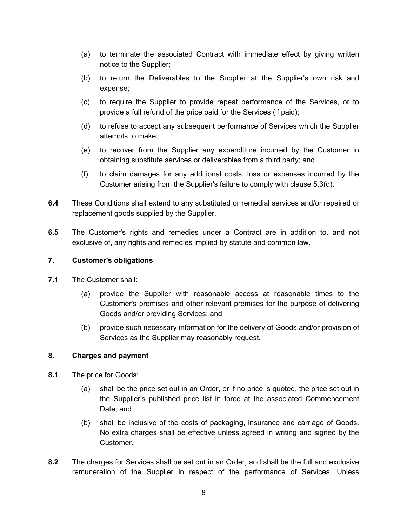- (a) to terminate the associated Contract with immediate effect by giving written notice to the Supplier;
- (b) to return the Deliverables to the Supplier at the Supplier's own risk and expense;
- (c) to require the Supplier to provide repeat performance of the Services, or to provide a full refund of the price paid for the Services (if paid);
- (d) to refuse to accept any subsequent performance of Services which the Supplier attempts to make;
- (e) to recover from the Supplier any expenditure incurred by the Customer in obtaining substitute services or deliverables from a third party; and
- (f) to claim damages for any additional costs, loss or expenses incurred by the Customer arising from the Supplier's failure to comply with clause 5.3(d).
- **6.4** These Conditions shall extend to any substituted or remedial services and/or repaired or replacement goods supplied by the Supplier.
- **6.5** The Customer's rights and remedies under a Contract are in addition to, and not exclusive of, any rights and remedies implied by statute and common law.

# **7. Customer's obligations**

- **7.1** The Customer shall:
	- (a) provide the Supplier with reasonable access at reasonable times to the Customer's premises and other relevant premises for the purpose of delivering Goods and/or providing Services; and
	- (b) provide such necessary information for the delivery of Goods and/or provision of Services as the Supplier may reasonably request.

# **8. Charges and payment**

- **8.1** The price for Goods:
	- (a) shall be the price set out in an Order, or if no price is quoted, the price set out in the Supplier's published price list in force at the associated Commencement Date; and
	- (b) shall be inclusive of the costs of packaging, insurance and carriage of Goods. No extra charges shall be effective unless agreed in writing and signed by the Customer.
- **8.2** The charges for Services shall be set out in an Order, and shall be the full and exclusive remuneration of the Supplier in respect of the performance of Services. Unless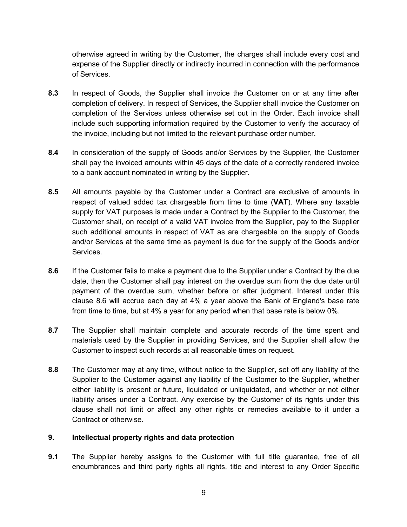otherwise agreed in writing by the Customer, the charges shall include every cost and expense of the Supplier directly or indirectly incurred in connection with the performance of Services.

- **8.3** In respect of Goods, the Supplier shall invoice the Customer on or at any time after completion of delivery. In respect of Services, the Supplier shall invoice the Customer on completion of the Services unless otherwise set out in the Order. Each invoice shall include such supporting information required by the Customer to verify the accuracy of the invoice, including but not limited to the relevant purchase order number.
- **8.4** In consideration of the supply of Goods and/or Services by the Supplier, the Customer shall pay the invoiced amounts within 45 days of the date of a correctly rendered invoice to a bank account nominated in writing by the Supplier.
- **8.5** All amounts payable by the Customer under a Contract are exclusive of amounts in respect of valued added tax chargeable from time to time (**VAT**). Where any taxable supply for VAT purposes is made under a Contract by the Supplier to the Customer, the Customer shall, on receipt of a valid VAT invoice from the Supplier, pay to the Supplier such additional amounts in respect of VAT as are chargeable on the supply of Goods and/or Services at the same time as payment is due for the supply of the Goods and/or Services.
- **8.6** If the Customer fails to make a payment due to the Supplier under a Contract by the due date, then the Customer shall pay interest on the overdue sum from the due date until payment of the overdue sum, whether before or after judgment. Interest under this clause 8.6 will accrue each day at 4% a year above the Bank of England's base rate from time to time, but at 4% a year for any period when that base rate is below 0%.
- **8.7** The Supplier shall maintain complete and accurate records of the time spent and materials used by the Supplier in providing Services, and the Supplier shall allow the Customer to inspect such records at all reasonable times on request.
- **8.8** The Customer may at any time, without notice to the Supplier, set off any liability of the Supplier to the Customer against any liability of the Customer to the Supplier, whether either liability is present or future, liquidated or unliquidated, and whether or not either liability arises under a Contract. Any exercise by the Customer of its rights under this clause shall not limit or affect any other rights or remedies available to it under a Contract or otherwise.

# **9. Intellectual property rights and data protection**

**9.1** The Supplier hereby assigns to the Customer with full title guarantee, free of all encumbrances and third party rights all rights, title and interest to any Order Specific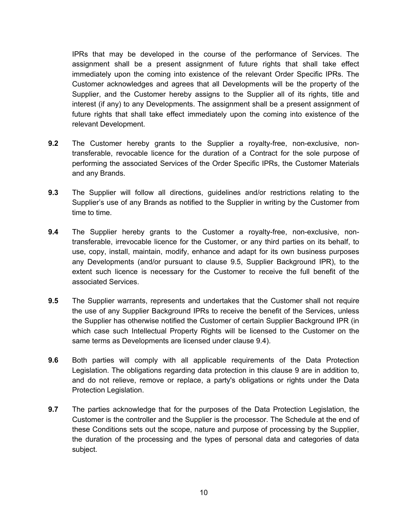IPRs that may be developed in the course of the performance of Services. The assignment shall be a present assignment of future rights that shall take effect immediately upon the coming into existence of the relevant Order Specific IPRs. The Customer acknowledges and agrees that all Developments will be the property of the Supplier, and the Customer hereby assigns to the Supplier all of its rights, title and interest (if any) to any Developments. The assignment shall be a present assignment of future rights that shall take effect immediately upon the coming into existence of the relevant Development.

- **9.2** The Customer hereby grants to the Supplier a royalty-free, non-exclusive, nontransferable, revocable licence for the duration of a Contract for the sole purpose of performing the associated Services of the Order Specific IPRs, the Customer Materials and any Brands.
- **9.3** The Supplier will follow all directions, guidelines and/or restrictions relating to the Supplier's use of any Brands as notified to the Supplier in writing by the Customer from time to time.
- **9.4** The Supplier hereby grants to the Customer a royalty-free, non-exclusive, nontransferable, irrevocable licence for the Customer, or any third parties on its behalf, to use, copy, install, maintain, modify, enhance and adapt for its own business purposes any Developments (and/or pursuant to clause 9.5, Supplier Background IPR), to the extent such licence is necessary for the Customer to receive the full benefit of the associated Services.
- **9.5** The Supplier warrants, represents and undertakes that the Customer shall not require the use of any Supplier Background IPRs to receive the benefit of the Services, unless the Supplier has otherwise notified the Customer of certain Supplier Background IPR (in which case such Intellectual Property Rights will be licensed to the Customer on the same terms as Developments are licensed under clause 9.4).
- **9.6** Both parties will comply with all applicable requirements of the Data Protection Legislation. The obligations regarding data protection in this clause 9 are in addition to, and do not relieve, remove or replace, a party's obligations or rights under the Data Protection Legislation.
- **9.7** The parties acknowledge that for the purposes of the Data Protection Legislation, the Customer is the controller and the Supplier is the processor. The Schedule at the end of these Conditions sets out the scope, nature and purpose of processing by the Supplier, the duration of the processing and the types of personal data and categories of data subject.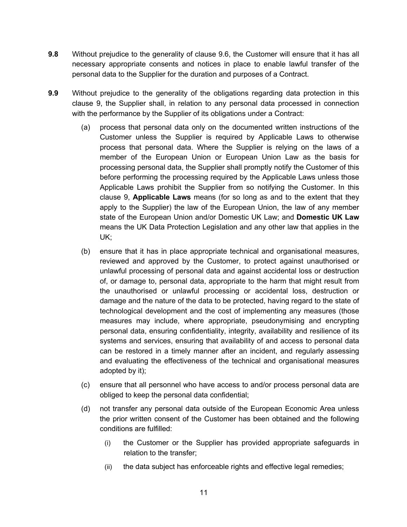- **9.8** Without prejudice to the generality of clause 9.6, the Customer will ensure that it has all necessary appropriate consents and notices in place to enable lawful transfer of the personal data to the Supplier for the duration and purposes of a Contract.
- **9.9** Without prejudice to the generality of the obligations regarding data protection in this clause 9, the Supplier shall, in relation to any personal data processed in connection with the performance by the Supplier of its obligations under a Contract:
	- (a) process that personal data only on the documented written instructions of the Customer unless the Supplier is required by Applicable Laws to otherwise process that personal data. Where the Supplier is relying on the laws of a member of the European Union or European Union Law as the basis for processing personal data, the Supplier shall promptly notify the Customer of this before performing the processing required by the Applicable Laws unless those Applicable Laws prohibit the Supplier from so notifying the Customer. In this clause 9, **Applicable Laws** means (for so long as and to the extent that they apply to the Supplier) the law of the European Union, the law of any member state of the European Union and/or Domestic UK Law; and **Domestic UK Law**  means the UK Data Protection Legislation and any other law that applies in the UK;
	- (b) ensure that it has in place appropriate technical and organisational measures, reviewed and approved by the Customer, to protect against unauthorised or unlawful processing of personal data and against accidental loss or destruction of, or damage to, personal data, appropriate to the harm that might result from the unauthorised or unlawful processing or accidental loss, destruction or damage and the nature of the data to be protected, having regard to the state of technological development and the cost of implementing any measures (those measures may include, where appropriate, pseudonymising and encrypting personal data, ensuring confidentiality, integrity, availability and resilience of its systems and services, ensuring that availability of and access to personal data can be restored in a timely manner after an incident, and regularly assessing and evaluating the effectiveness of the technical and organisational measures adopted by it);
	- (c) ensure that all personnel who have access to and/or process personal data are obliged to keep the personal data confidential;
	- (d) not transfer any personal data outside of the European Economic Area unless the prior written consent of the Customer has been obtained and the following conditions are fulfilled:
		- (i) the Customer or the Supplier has provided appropriate safeguards in relation to the transfer;
		- (ii) the data subject has enforceable rights and effective legal remedies;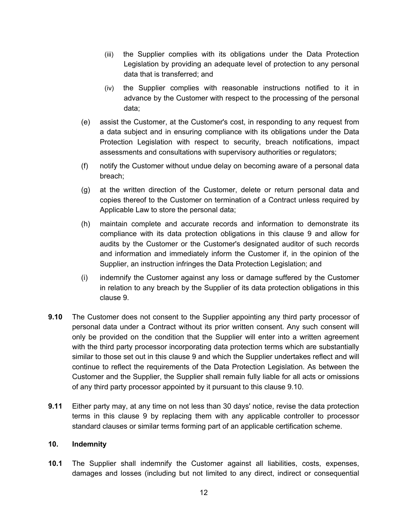- (iii) the Supplier complies with its obligations under the Data Protection Legislation by providing an adequate level of protection to any personal data that is transferred; and
- (iv) the Supplier complies with reasonable instructions notified to it in advance by the Customer with respect to the processing of the personal data;
- (e) assist the Customer, at the Customer's cost, in responding to any request from a data subject and in ensuring compliance with its obligations under the Data Protection Legislation with respect to security, breach notifications, impact assessments and consultations with supervisory authorities or regulators;
- (f) notify the Customer without undue delay on becoming aware of a personal data breach;
- (g) at the written direction of the Customer, delete or return personal data and copies thereof to the Customer on termination of a Contract unless required by Applicable Law to store the personal data;
- (h) maintain complete and accurate records and information to demonstrate its compliance with its data protection obligations in this clause 9 and allow for audits by the Customer or the Customer's designated auditor of such records and information and immediately inform the Customer if, in the opinion of the Supplier, an instruction infringes the Data Protection Legislation; and
- (i) indemnify the Customer against any loss or damage suffered by the Customer in relation to any breach by the Supplier of its data protection obligations in this clause 9.
- **9.10** The Customer does not consent to the Supplier appointing any third party processor of personal data under a Contract without its prior written consent. Any such consent will only be provided on the condition that the Supplier will enter into a written agreement with the third party processor incorporating data protection terms which are substantially similar to those set out in this clause 9 and which the Supplier undertakes reflect and will continue to reflect the requirements of the Data Protection Legislation. As between the Customer and the Supplier, the Supplier shall remain fully liable for all acts or omissions of any third party processor appointed by it pursuant to this clause 9.10.
- **9.11** Either party may, at any time on not less than 30 days' notice, revise the data protection terms in this clause 9 by replacing them with any applicable controller to processor standard clauses or similar terms forming part of an applicable certification scheme.

#### **10. Indemnity**

**10.1** The Supplier shall indemnify the Customer against all liabilities, costs, expenses, damages and losses (including but not limited to any direct, indirect or consequential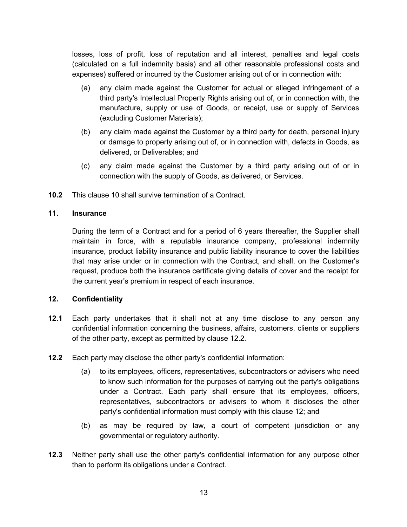losses, loss of profit, loss of reputation and all interest, penalties and legal costs (calculated on a full indemnity basis) and all other reasonable professional costs and expenses) suffered or incurred by the Customer arising out of or in connection with:

- (a) any claim made against the Customer for actual or alleged infringement of a third party's Intellectual Property Rights arising out of, or in connection with, the manufacture, supply or use of Goods, or receipt, use or supply of Services (excluding Customer Materials);
- (b) any claim made against the Customer by a third party for death, personal injury or damage to property arising out of, or in connection with, defects in Goods, as delivered, or Deliverables; and
- (c) any claim made against the Customer by a third party arising out of or in connection with the supply of Goods, as delivered, or Services.
- **10.2** This clause 10 shall survive termination of a Contract.

### **11. Insurance**

During the term of a Contract and for a period of 6 years thereafter, the Supplier shall maintain in force, with a reputable insurance company, professional indemnity insurance, product liability insurance and public liability insurance to cover the liabilities that may arise under or in connection with the Contract, and shall, on the Customer's request, produce both the insurance certificate giving details of cover and the receipt for the current year's premium in respect of each insurance.

#### **12. Confidentiality**

- **12.1** Each party undertakes that it shall not at any time disclose to any person any confidential information concerning the business, affairs, customers, clients or suppliers of the other party, except as permitted by clause 12.2*.*
- **12.2** Each party may disclose the other party's confidential information:
	- (a) to its employees, officers, representatives, subcontractors or advisers who need to know such information for the purposes of carrying out the party's obligations under a Contract. Each party shall ensure that its employees, officers, representatives, subcontractors or advisers to whom it discloses the other party's confidential information must comply with this clause 12; and
	- (b) as may be required by law, a court of competent jurisdiction or any governmental or regulatory authority.
- **12.3** Neither party shall use the other party's confidential information for any purpose other than to perform its obligations under a Contract.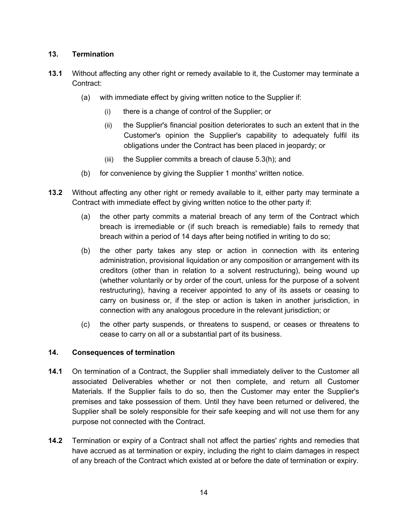# **13. Termination**

- **13.1** Without affecting any other right or remedy available to it, the Customer may terminate a Contract:
	- (a) with immediate effect by giving written notice to the Supplier if:
		- (i) there is a change of control of the Supplier; or
		- (ii) the Supplier's financial position deteriorates to such an extent that in the Customer's opinion the Supplier's capability to adequately fulfil its obligations under the Contract has been placed in jeopardy; or
		- (iii) the Supplier commits a breach of clause 5.3(h); and
	- (b) for convenience by giving the Supplier 1 months' written notice.
- **13.2** Without affecting any other right or remedy available to it, either party may terminate a Contract with immediate effect by giving written notice to the other party if:
	- (a) the other party commits a material breach of any term of the Contract which breach is irremediable or (if such breach is remediable) fails to remedy that breach within a period of 14 days after being notified in writing to do so;
	- (b) the other party takes any step or action in connection with its entering administration, provisional liquidation or any composition or arrangement with its creditors (other than in relation to a solvent restructuring), being wound up (whether voluntarily or by order of the court, unless for the purpose of a solvent restructuring), having a receiver appointed to any of its assets or ceasing to carry on business or, if the step or action is taken in another jurisdiction, in connection with any analogous procedure in the relevant jurisdiction; or
	- (c) the other party suspends, or threatens to suspend, or ceases or threatens to cease to carry on all or a substantial part of its business.

# **14. Consequences of termination**

- **14.1** On termination of a Contract, the Supplier shall immediately deliver to the Customer all associated Deliverables whether or not then complete, and return all Customer Materials. If the Supplier fails to do so, then the Customer may enter the Supplier's premises and take possession of them. Until they have been returned or delivered, the Supplier shall be solely responsible for their safe keeping and will not use them for any purpose not connected with the Contract.
- **14.2** Termination or expiry of a Contract shall not affect the parties' rights and remedies that have accrued as at termination or expiry, including the right to claim damages in respect of any breach of the Contract which existed at or before the date of termination or expiry.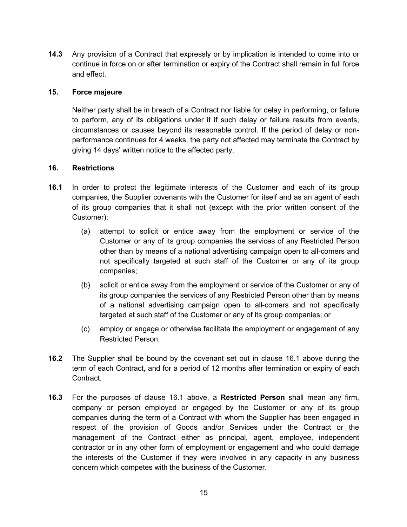**14.3** Any provision of a Contract that expressly or by implication is intended to come into or continue in force on or after termination or expiry of the Contract shall remain in full force and effect.

### **15. Force majeure**

Neither party shall be in breach of a Contract nor liable for delay in performing, or failure to perform, any of its obligations under it if such delay or failure results from events, circumstances or causes beyond its reasonable control. If the period of delay or nonperformance continues for 4 weeks, the party not affected may terminate the Contract by giving 14 days' written notice to the affected party.

### **16. Restrictions**

- **16.1** In order to protect the legitimate interests of the Customer and each of its group companies, the Supplier covenants with the Customer for itself and as an agent of each of its group companies that it shall not (except with the prior written consent of the Customer):
	- (a) attempt to solicit or entice away from the employment or service of the Customer or any of its group companies the services of any Restricted Person other than by means of a national advertising campaign open to all-comers and not specifically targeted at such staff of the Customer or any of its group companies;
	- (b) solicit or entice away from the employment or service of the Customer or any of its group companies the services of any Restricted Person other than by means of a national advertising campaign open to all-comers and not specifically targeted at such staff of the Customer or any of its group companies; or
	- (c) employ or engage or otherwise facilitate the employment or engagement of any Restricted Person.
- **16.2** The Supplier shall be bound by the covenant set out in clause 16.1 above during the term of each Contract, and for a period of 12 months after termination or expiry of each Contract.
- **16.3** For the purposes of clause 16.1 above, a **Restricted Person** shall mean any firm, company or person employed or engaged by the Customer or any of its group companies during the term of a Contract with whom the Supplier has been engaged in respect of the provision of Goods and/or Services under the Contract or the management of the Contract either as principal, agent, employee, independent contractor or in any other form of employment or engagement and who could damage the interests of the Customer if they were involved in any capacity in any business concern which competes with the business of the Customer.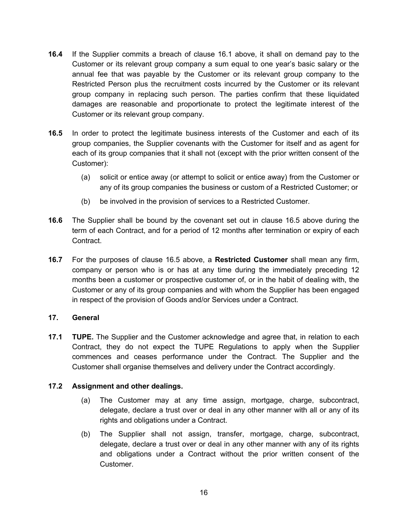- **16.4** If the Supplier commits a breach of clause 16.1 above, it shall on demand pay to the Customer or its relevant group company a sum equal to one year's basic salary or the annual fee that was payable by the Customer or its relevant group company to the Restricted Person plus the recruitment costs incurred by the Customer or its relevant group company in replacing such person. The parties confirm that these liquidated damages are reasonable and proportionate to protect the legitimate interest of the Customer or its relevant group company.
- **16.5** In order to protect the legitimate business interests of the Customer and each of its group companies, the Supplier covenants with the Customer for itself and as agent for each of its group companies that it shall not (except with the prior written consent of the Customer):
	- (a) solicit or entice away (or attempt to solicit or entice away) from the Customer or any of its group companies the business or custom of a Restricted Customer; or
	- (b) be involved in the provision of services to a Restricted Customer.
- **16.6** The Supplier shall be bound by the covenant set out in clause 16.5 above during the term of each Contract, and for a period of 12 months after termination or expiry of each Contract.
- **16.7** For the purposes of clause 16.5 above, a **Restricted Customer** shall mean any firm, company or person who is or has at any time during the immediately preceding 12 months been a customer or prospective customer of, or in the habit of dealing with, the Customer or any of its group companies and with whom the Supplier has been engaged in respect of the provision of Goods and/or Services under a Contract.

# **17. General**

**17.1 TUPE.** The Supplier and the Customer acknowledge and agree that, in relation to each Contract, they do not expect the TUPE Regulations to apply when the Supplier commences and ceases performance under the Contract. The Supplier and the Customer shall organise themselves and delivery under the Contract accordingly.

# **17.2 Assignment and other dealings.**

- (a) The Customer may at any time assign, mortgage, charge, subcontract, delegate, declare a trust over or deal in any other manner with all or any of its rights and obligations under a Contract.
- (b) The Supplier shall not assign, transfer, mortgage, charge, subcontract, delegate, declare a trust over or deal in any other manner with any of its rights and obligations under a Contract without the prior written consent of the Customer.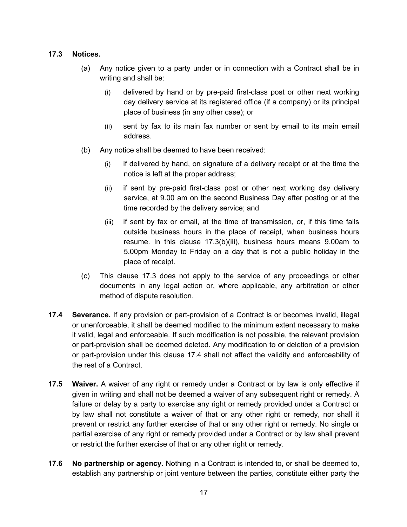# **17.3 Notices.**

- (a) Any notice given to a party under or in connection with a Contract shall be in writing and shall be:
	- (i) delivered by hand or by pre-paid first-class post or other next working day delivery service at its registered office (if a company) or its principal place of business (in any other case); or
	- (ii) sent by fax to its main fax number or sent by email to its main email address.
- (b) Any notice shall be deemed to have been received:
	- (i) if delivered by hand, on signature of a delivery receipt or at the time the notice is left at the proper address;
	- (ii) if sent by pre-paid first-class post or other next working day delivery service, at 9.00 am on the second Business Day after posting or at the time recorded by the delivery service; and
	- (iii) if sent by fax or email, at the time of transmission, or, if this time falls outside business hours in the place of receipt, when business hours resume. In this clause 17.3(b)(iii), business hours means 9.00am to 5.00pm Monday to Friday on a day that is not a public holiday in the place of receipt.
- (c) This clause 17.3 does not apply to the service of any proceedings or other documents in any legal action or, where applicable, any arbitration or other method of dispute resolution.
- **17.4 Severance.** If any provision or part-provision of a Contract is or becomes invalid, illegal or unenforceable, it shall be deemed modified to the minimum extent necessary to make it valid, legal and enforceable. If such modification is not possible, the relevant provision or part-provision shall be deemed deleted. Any modification to or deletion of a provision or part-provision under this clause 17.4 shall not affect the validity and enforceability of the rest of a Contract.
- **17.5 Waiver.** A waiver of any right or remedy under a Contract or by law is only effective if given in writing and shall not be deemed a waiver of any subsequent right or remedy. A failure or delay by a party to exercise any right or remedy provided under a Contract or by law shall not constitute a waiver of that or any other right or remedy, nor shall it prevent or restrict any further exercise of that or any other right or remedy. No single or partial exercise of any right or remedy provided under a Contract or by law shall prevent or restrict the further exercise of that or any other right or remedy.
- **17.6 No partnership or agency.** Nothing in a Contract is intended to, or shall be deemed to, establish any partnership or joint venture between the parties, constitute either party the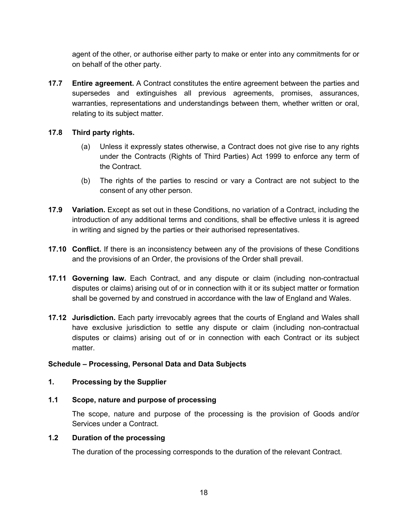agent of the other, or authorise either party to make or enter into any commitments for or on behalf of the other party.

**17.7 Entire agreement.** A Contract constitutes the entire agreement between the parties and supersedes and extinguishes all previous agreements, promises, assurances, warranties, representations and understandings between them, whether written or oral, relating to its subject matter.

# **17.8 Third party rights.**

- (a) Unless it expressly states otherwise, a Contract does not give rise to any rights under the Contracts (Rights of Third Parties) Act 1999 to enforce any term of the Contract.
- (b) The rights of the parties to rescind or vary a Contract are not subject to the consent of any other person.
- **17.9 Variation.** Except as set out in these Conditions, no variation of a Contract, including the introduction of any additional terms and conditions, shall be effective unless it is agreed in writing and signed by the parties or their authorised representatives.
- **17.10 Conflict.** If there is an inconsistency between any of the provisions of these Conditions and the provisions of an Order, the provisions of the Order shall prevail.
- **17.11 Governing law.** Each Contract, and any dispute or claim (including non-contractual disputes or claims) arising out of or in connection with it or its subject matter or formation shall be governed by and construed in accordance with the law of England and Wales.
- **17.12 Jurisdiction.** Each party irrevocably agrees that the courts of England and Wales shall have exclusive jurisdiction to settle any dispute or claim (including non-contractual disputes or claims) arising out of or in connection with each Contract or its subject matter.

# **Schedule – Processing, Personal Data and Data Subjects**

# **1. Processing by the Supplier**

**1.1 Scope, nature and purpose of processing**

The scope, nature and purpose of the processing is the provision of Goods and/or Services under a Contract.

# **1.2 Duration of the processing**

The duration of the processing corresponds to the duration of the relevant Contract.